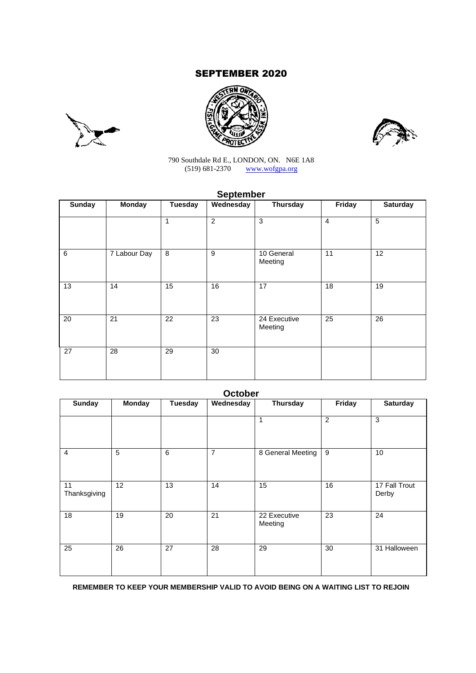# SEPTEMBER 2020







790 Southdale Rd E., LONDON, ON. N6E 1A8 (519) 681-2370 www.wofgpa.org

# **September**

| <b>Sunday</b>   | <b>Monday</b>   | <b>Tuesday</b> | Wednesday       | Thursday                | Friday          | <b>Saturday</b> |
|-----------------|-----------------|----------------|-----------------|-------------------------|-----------------|-----------------|
|                 |                 | 1              | $\overline{2}$  | 3                       | $\overline{4}$  | 5               |
| 6               | 7 Labour Day    | $\,8\,$        | 9               | 10 General<br>Meeting   | 11              | 12              |
| $\overline{13}$ | 14              | 15             | 16              | 17                      | $\overline{18}$ | 19              |
| 20              | $\overline{21}$ | 22             | $\overline{23}$ | 24 Executive<br>Meeting | $\overline{25}$ | $\overline{26}$ |
| 27              | 28              | 29             | 30              |                         |                 |                 |

|                    |               |         | <b>October</b> |                         |                |                        |
|--------------------|---------------|---------|----------------|-------------------------|----------------|------------------------|
| <b>Sunday</b>      | <b>Monday</b> | Tuesday | Wednesday      | Thursday                | Friday         | <b>Saturday</b>        |
|                    |               |         |                | 1                       | $\overline{2}$ | 3                      |
| $\overline{4}$     | 5             | 6       | 7              | 8 General Meeting       | 9              | 10                     |
| 11<br>Thanksgiving | 12            | 13      | 14             | 15                      | 16             | 17 Fall Trout<br>Derby |
| 18                 | 19            | 20      | 21             | 22 Executive<br>Meeting | 23             | 24                     |
| 25                 | 26            | 27      | 28             | 29                      | 30             | 31 Halloween           |

**REMEMBER TO KEEP YOUR MEMBERSHIP VALID TO AVOID BEING ON A WAITING LIST TO REJOIN**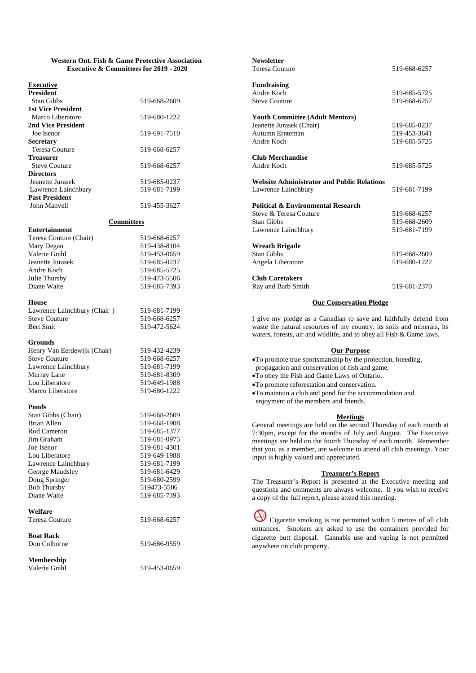#### **Western Ont. Fish & Game Protective Association Executive & Committees for 2019 - 2020**

#### **Executive**

| 519-668-2609 |
|--------------|
|              |
| 519-680-1222 |
|              |
| 519-691-7510 |
|              |
| 519-668-6257 |
|              |
| 519-668-6257 |
|              |
| 519-685-0237 |
| 519-681-7199 |
|              |
| 519-455-3627 |
|              |

#### **Committees**

| <b>Entertainment</b>   |              |
|------------------------|--------------|
| Teresa Couture (Chair) | 519-668-6257 |
| Mary Degan             | 519-438-8104 |
| Valerie Grahl          | 519-453-0659 |
| Jeanette Jurasek       | 519-685-0237 |
| Andre Koch             | 519-685-5725 |
| Julie Thursby          | 519-473-5506 |
| Diane Waite            | 519-685-7393 |
|                        |              |

#### **House**

**Entertainment**

| Lawrence Lainchbury (Chair) | 519-681-7199 |
|-----------------------------|--------------|
| <b>Steve Couture</b>        | 519-668-6257 |
| Bert Smit                   | 519-472-5624 |

#### **Grounds**

| 519-432-4239 |
|--------------|
| 519-668-6257 |
| 519-681-7199 |
| 519-681-8309 |
| 519-649-1988 |
| 519-680-1222 |
|              |

#### **Ponds**

| Stan Gibbs (Chair)  | 519-668-2609 |
|---------------------|--------------|
| Brian Allen         | 519-668-1908 |
| Rod Cameron         | 519-685-1377 |
| Jim Graham          | 519-681-0975 |
| Joe Isenor          | 519-681-4301 |
| Lou Liberatore      | 519-649-1988 |
| Lawrence Lainchbury | 519-681-7199 |
| George Maudsley     | 519-681-6429 |
| Doug Springer       | 519-680-2599 |
| <b>Bob Thursby</b>  | 519473-5506  |
| Diane Waite         | 519-685-7393 |
| Welfare             |              |
| Teresa Couture      | 519-668-6257 |
| <b>Boat Rack</b>    |              |
| Don Colborne        | 519-686-9559 |
| <b>Membership</b>   |              |
| Valerie Grahl       | 519-453-0659 |

| <b>Newsletter</b>                                 |              |
|---------------------------------------------------|--------------|
| <b>Teresa Couture</b>                             | 519-668-6257 |
| <b>Fundraising</b>                                |              |
| Andre Koch                                        | 519-685-5725 |
| <b>Steve Couture</b>                              | 519-668-6257 |
| <b>Youth Committee (Adult Mentors)</b>            |              |
| Jeanette Jurasek (Chair)                          | 519-685-0237 |
| Autumn Ernteman                                   | 519-453-3641 |
| Andre Koch                                        | 519-685-5725 |
| <b>Club Merchandise</b>                           |              |
| Andre Koch                                        | 519-685-5725 |
| <b>Website Administrator and Public Relations</b> |              |
| Lawrence Lainchbury                               | 519-681-7199 |
| <b>Political &amp; Environmental Research</b>     |              |
| Steve & Teresa Couture                            | 519-668-6257 |
| <b>Stan Gibbs</b>                                 | 519-668-2609 |
| Lawrence Lainchbury                               | 519-681-7199 |
| <b>Wreath Brigade</b>                             |              |
| <b>Stan Gibbs</b>                                 | 519-668-2609 |
| Angela Liberatore                                 | 519-680-1222 |
| <b>Club Caretakers</b>                            |              |
| Ray and Barb Smith                                | 519-681-2370 |

#### **Our Conservation Pledge**

I give my pledge as a Canadian to save and faithfully defend from waste the natural resources of my country, its soils and minerals, its waters, forests, air and wildlife, and to obey all Fish & Game laws.

#### **Our Purpose**

- To promote true sportsmanship by the protection, breeding,
- propagation and conservation of fish and game.
- To obey the Fish and Game Laws of Ontario.
- To promote reforestation and conservation.
- To maintain a club and pond for the accommodation and enjoyment of the members and friends.

#### **Meetings**

General meetings are held on the second Thursday of each month at 7:30pm, except for the months of July and August. The Executive meetings are held on the fourth Thursday of each month. Remember that you, as a member, are welcome to attend all club meetings. Your input is highly valued and appreciated.

#### **Treasurer's Report**

The Treasurer's Report is presented at the Executive meeting and questions and comments are always welcome. If you wish to receive a copy of the full report, please attend this meeting.

Cigarette smoking is not permitted within 5 metres of all club entrances. Smokers are asked to use the containers provided for cigarette butt disposal. Cannabis use and vaping is not permitted anywhere on club property.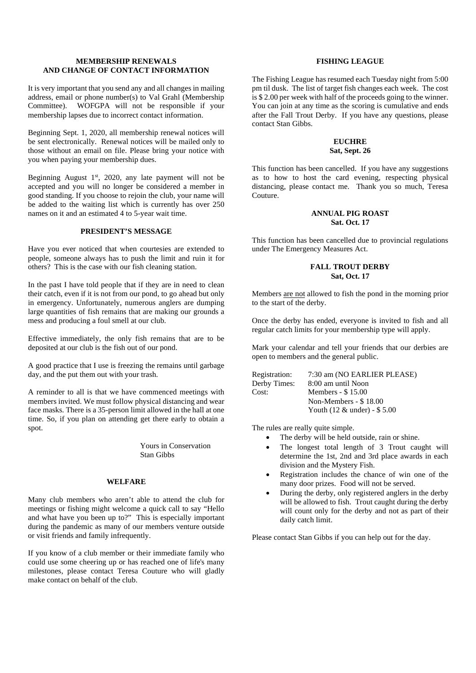### **MEMBERSHIP RENEWALS AND CHANGE OF CONTACT INFORMATION**

It is very important that you send any and all changes in mailing address, email or phone number(s) to Val Grahl (Membership Committee). WOFGPA will not be responsible if your membership lapses due to incorrect contact information.

Beginning Sept. 1, 2020, all membership renewal notices will be sent electronically. Renewal notices will be mailed only to those without an email on file. Please bring your notice with you when paying your membership dues.

Beginning August  $1<sup>st</sup>$ , 2020, any late payment will not be accepted and you will no longer be considered a member in good standing. If you choose to rejoin the club, your name will be added to the waiting list which is currently has over 250 names on it and an estimated 4 to 5-year wait time.

### **PRESIDENT'S MESSAGE**

Have you ever noticed that when courtesies are extended to people, someone always has to push the limit and ruin it for others? This is the case with our fish cleaning station.

In the past I have told people that if they are in need to clean their catch, even if it is not from our pond, to go ahead but only in emergency. Unfortunately, numerous anglers are dumping large quantities of fish remains that are making our grounds a mess and producing a foul smell at our club.

Effective immediately, the only fish remains that are to be deposited at our club is the fish out of our pond.

A good practice that I use is freezing the remains until garbage day, and the put them out with your trash.

A reminder to all is that we have commenced meetings with members invited. We must follow physical distancing and wear face masks. There is a 35-person limit allowed in the hall at one time. So, if you plan on attending get there early to obtain a spot.

> Yours in Conservation Stan Gibbs

### **WELFARE**

Many club members who aren't able to attend the club for meetings or fishing might welcome a quick call to say "Hello and what have you been up to?" This is especially important during the pandemic as many of our members venture outside or visit friends and family infrequently.

If you know of a club member or their immediate family who could use some cheering up or has reached one of life's many milestones, please contact Teresa Couture who will gladly make contact on behalf of the club.

### **FISHING LEAGUE**

The Fishing League has resumed each Tuesday night from 5:00 pm til dusk. The list of target fish changes each week. The cost is \$ 2.00 per week with half of the proceeds going to the winner. You can join at any time as the scoring is cumulative and ends after the Fall Trout Derby. If you have any questions, please contact Stan Gibbs.

### **EUCHRE Sat, Sept. 26**

This function has been cancelled. If you have any suggestions as to how to host the card evening, respecting physical distancing, please contact me. Thank you so much, Teresa Couture.

## **ANNUAL PIG ROAST Sat. Oct. 17**

This function has been cancelled due to provincial regulations under The Emergency Measures Act.

# **FALL TROUT DERBY Sat, Oct. 17**

Members are not allowed to fish the pond in the morning prior to the start of the derby.

Once the derby has ended, everyone is invited to fish and all regular catch limits for your membership type will apply.

Mark your calendar and tell your friends that our derbies are open to members and the general public.

| Registration: | 7:30 am (NO EARLIER PLEASE)    |
|---------------|--------------------------------|
| Derby Times:  | 8:00 am until Noon             |
| Cost:         | Members - \$15.00              |
|               | Non-Members $-$ \$ 18.00       |
|               | Youth $(12 \&$ under) - \$5.00 |

The rules are really quite simple.

- The derby will be held outside, rain or shine.
- The longest total length of 3 Trout caught will determine the 1st, 2nd and 3rd place awards in each division and the Mystery Fish.
- Registration includes the chance of win one of the many door prizes. Food will not be served.
- During the derby, only registered anglers in the derby will be allowed to fish. Trout caught during the derby will count only for the derby and not as part of their daily catch limit.

Please contact Stan Gibbs if you can help out for the day.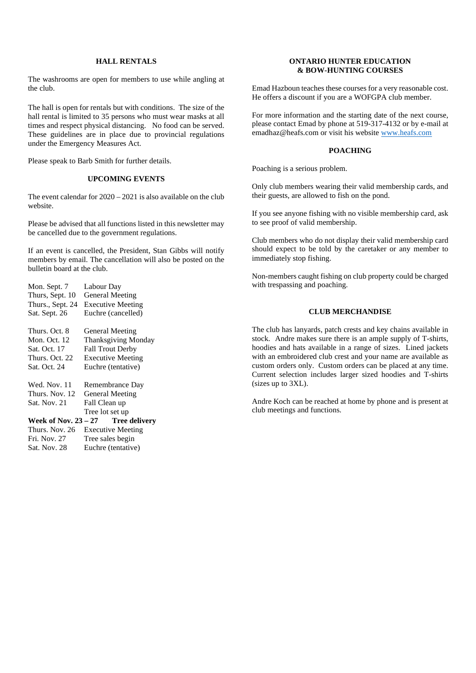### **HALL RENTALS**

The washrooms are open for members to use while angling at the club.

The hall is open for rentals but with conditions. The size of the hall rental is limited to 35 persons who must wear masks at all times and respect physical distancing. No food can be served. These guidelines are in place due to provincial regulations under the Emergency Measures Act.

Please speak to Barb Smith for further details.

### **UPCOMING EVENTS**

The event calendar for 2020 – 2021 is also available on the club website.

Please be advised that all functions listed in this newsletter may be cancelled due to the government regulations.

If an event is cancelled, the President, Stan Gibbs will notify members by email. The cancellation will also be posted on the bulletin board at the club.

| Mon. Sept. 7           | Labour Day                 |
|------------------------|----------------------------|
| Thurs, Sept. 10        | <b>General Meeting</b>     |
| Thurs., Sept. 24       | <b>Executive Meeting</b>   |
| Sat. Sept. 26          | Euchre (cancelled)         |
| Thurs. Oct. 8          | <b>General Meeting</b>     |
| Mon. Oct. 12           | <b>Thanksgiving Monday</b> |
| Sat. Oct. 17           | <b>Fall Trout Derby</b>    |
| Thurs. Oct. 22         | <b>Executive Meeting</b>   |
| Sat. Oct. 24           | Euchre (tentative)         |
| Wed. Nov. 11           | Remembrance Day            |
| Thurs. Nov. 12         | <b>General Meeting</b>     |
| Sat. Nov. 21           | Fall Clean up              |
|                        | Tree lot set up            |
| Week of Nov. $23 - 27$ | <b>Tree delivery</b>       |
| Thurs, Nov. 26         | <b>Executive Meeting</b>   |
| Fri. Nov. 27           | Tree sales begin           |
| Sat. Nov. 28           | Euchre (tentative)         |

### **ONTARIO HUNTER EDUCATION & BOW-HUNTING COURSES**

Emad Hazboun teaches these courses for a very reasonable cost. He offers a discount if you are a WOFGPA club member.

For more information and the starting date of the next course, please contact Emad by phone at 519-317-4132 or by e-mail at emadhaz@heafs.com or visit his website www.heafs.com

### **POACHING**

Poaching is a serious problem.

Only club members wearing their valid membership cards, and their guests, are allowed to fish on the pond.

If you see anyone fishing with no visible membership card, ask to see proof of valid membership.

Club members who do not display their valid membership card should expect to be told by the caretaker or any member to immediately stop fishing.

Non-members caught fishing on club property could be charged with trespassing and poaching.

# **CLUB MERCHANDISE**

The club has lanyards, patch crests and key chains available in stock. Andre makes sure there is an ample supply of T-shirts, hoodies and hats available in a range of sizes. Lined jackets with an embroidered club crest and your name are available as custom orders only. Custom orders can be placed at any time. Current selection includes larger sized hoodies and T-shirts (sizes up to 3XL).

Andre Koch can be reached at home by phone and is present at club meetings and functions.